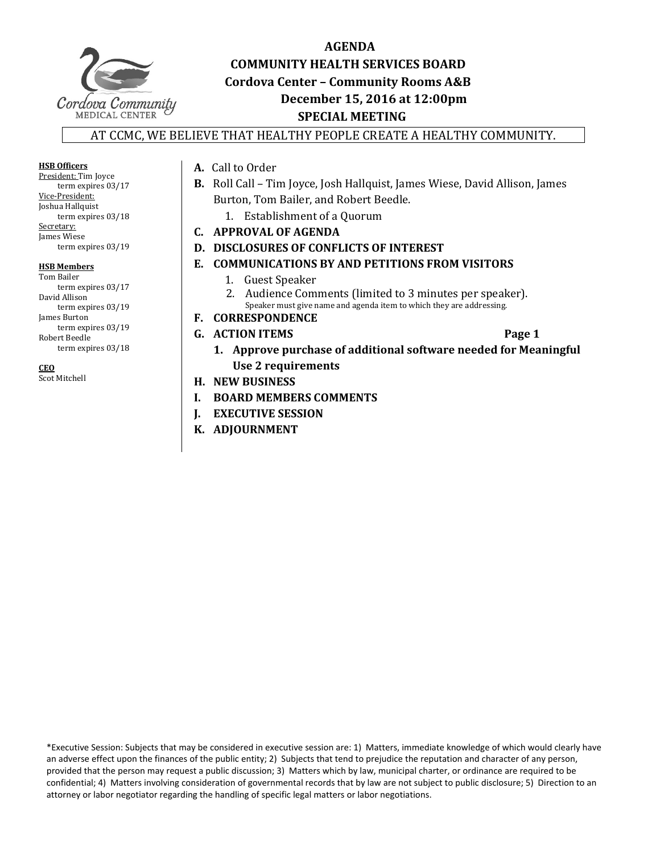

# **AGENDA COMMUNITY HEALTH SERVICES BOARD Cordova Center – Community Rooms A&B December 15, 2016 at 12:00pm SPECIAL MEETING**

## AT CCMC, WE BELIEVE THAT HEALTHY PEOPLE CREATE A HEALTHY COMMUNITY.

**HSB Officers** President: Tim Joyce term expires 03/17 Vice‐President: Joshua Hallquist term expires  $03/18$ Secretary: James Wiese term expires 03/19

#### **HSB Members**

Tom Bailer term expires  $03/17$ David Allison term expires 03/19 James Burton term expires 03/19 Robert Beedle term expires 03/18

### **CEO**

Scot Mitchell

## A. Call to Order

- **B.** Roll Call Tim Joyce, Josh Hallquist, James Wiese, David Allison, James Burton, Tom Bailer, and Robert Beedle.
	- 1. Establishment of a Ouorum
- **C. APPROVAL OF AGENDA**
- **D. DISCLOSURES OF CONFLICTS OF INTEREST**
- **E. COMMUNICATIONS BY AND PETITIONS FROM VISITORS**
	- 1. Guest Speaker
	- 2. Audience Comments (limited to 3 minutes per speaker). Speaker must give name and agenda item to which they are addressing.
- **F. CORRESPONDENCE**
- **G. ACTION ITEMS Page 1** 
	-
	- **1. Approve purchase of additional software needed for Meaningful Use 2 requirements**
- **H. NEW BUSINESS**
- **I. BOARD MEMBERS COMMENTS**
- **J. EXECUTIVE SESSION**
- **K. ADJOURNMENT**

\*Executive Session: Subjects that may be considered in executive session are: 1) Matters, immediate knowledge of which would clearly have an adverse effect upon the finances of the public entity; 2) Subjects that tend to prejudice the reputation and character of any person, provided that the person may request a public discussion; 3) Matters which by law, municipal charter, or ordinance are required to be confidential; 4) Matters involving consideration of governmental records that by law are not subject to public disclosure; 5) Direction to an attorney or labor negotiator regarding the handling of specific legal matters or labor negotiations.